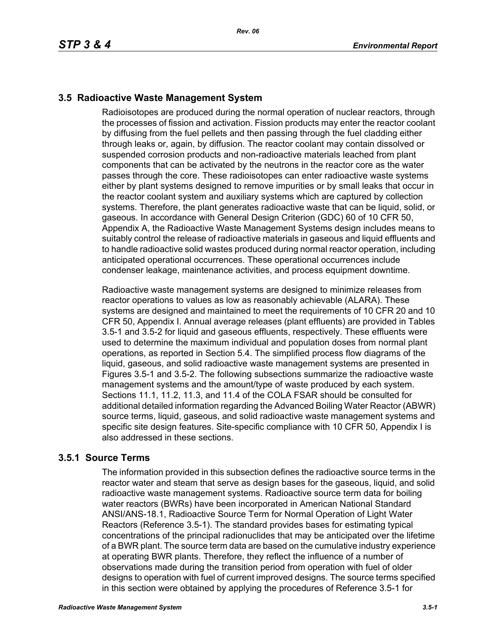# **3.5 Radioactive Waste Management System**

Radioisotopes are produced during the normal operation of nuclear reactors, through the processes of fission and activation. Fission products may enter the reactor coolant by diffusing from the fuel pellets and then passing through the fuel cladding either through leaks or, again, by diffusion. The reactor coolant may contain dissolved or suspended corrosion products and non-radioactive materials leached from plant components that can be activated by the neutrons in the reactor core as the water passes through the core. These radioisotopes can enter radioactive waste systems either by plant systems designed to remove impurities or by small leaks that occur in the reactor coolant system and auxiliary systems which are captured by collection systems. Therefore, the plant generates radioactive waste that can be liquid, solid, or gaseous. In accordance with General Design Criterion (GDC) 60 of 10 CFR 50, Appendix A, the Radioactive Waste Management Systems design includes means to suitably control the release of radioactive materials in gaseous and liquid effluents and to handle radioactive solid wastes produced during normal reactor operation, including anticipated operational occurrences. These operational occurrences include condenser leakage, maintenance activities, and process equipment downtime.

Radioactive waste management systems are designed to minimize releases from reactor operations to values as low as reasonably achievable (ALARA). These systems are designed and maintained to meet the requirements of 10 CFR 20 and 10 CFR 50, Appendix I. Annual average releases (plant effluents) are provided in Tables 3.5-1 and 3.5-2 for liquid and gaseous effluents, respectively. These effluents were used to determine the maximum individual and population doses from normal plant operations, as reported in Section 5.4. The simplified process flow diagrams of the liquid, gaseous, and solid radioactive waste management systems are presented in Figures 3.5-1 and 3.5-2. The following subsections summarize the radioactive waste management systems and the amount/type of waste produced by each system. Sections 11.1, 11.2, 11.3, and 11.4 of the COLA FSAR should be consulted for additional detailed information regarding the Advanced Boiling Water Reactor (ABWR) source terms, liquid, gaseous, and solid radioactive waste management systems and specific site design features. Site-specific compliance with 10 CFR 50, Appendix I is also addressed in these sections.

# **3.5.1 Source Terms**

The information provided in this subsection defines the radioactive source terms in the reactor water and steam that serve as design bases for the gaseous, liquid, and solid radioactive waste management systems. Radioactive source term data for boiling water reactors (BWRs) have been incorporated in American National Standard ANSI/ANS-18.1, Radioactive Source Term for Normal Operation of Light Water Reactors (Reference 3.5-1). The standard provides bases for estimating typical concentrations of the principal radionuclides that may be anticipated over the lifetime of a BWR plant. The source term data are based on the cumulative industry experience at operating BWR plants. Therefore, they reflect the influence of a number of observations made during the transition period from operation with fuel of older designs to operation with fuel of current improved designs. The source terms specified in this section were obtained by applying the procedures of Reference 3.5-1 for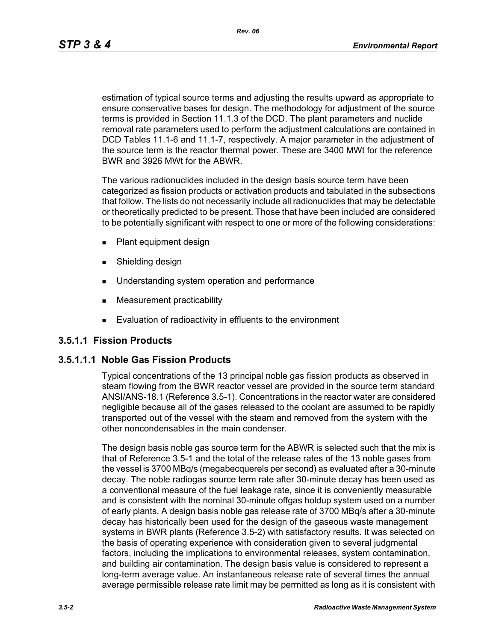*Rev. 06*

estimation of typical source terms and adjusting the results upward as appropriate to ensure conservative bases for design. The methodology for adjustment of the source terms is provided in Section 11.1.3 of the DCD. The plant parameters and nuclide removal rate parameters used to perform the adjustment calculations are contained in DCD Tables 11.1-6 and 11.1-7, respectively. A major parameter in the adjustment of the source term is the reactor thermal power. These are 3400 MWt for the reference BWR and 3926 MWt for the ABWR.

The various radionuclides included in the design basis source term have been categorized as fission products or activation products and tabulated in the subsections that follow. The lists do not necessarily include all radionuclides that may be detectable or theoretically predicted to be present. Those that have been included are considered to be potentially significant with respect to one or more of the following considerations:

- **Plant equipment design**
- **Burnelling design**
- **Understanding system operation and performance**
- **Measurement practicability**
- **Evaluation of radioactivity in effluents to the environment**

### **3.5.1.1 Fission Products**

### **3.5.1.1.1 Noble Gas Fission Products**

Typical concentrations of the 13 principal noble gas fission products as observed in steam flowing from the BWR reactor vessel are provided in the source term standard ANSI/ANS-18.1 (Reference 3.5-1). Concentrations in the reactor water are considered negligible because all of the gases released to the coolant are assumed to be rapidly transported out of the vessel with the steam and removed from the system with the other noncondensables in the main condenser.

The design basis noble gas source term for the ABWR is selected such that the mix is that of Reference 3.5-1 and the total of the release rates of the 13 noble gases from the vessel is 3700 MBq/s (megabecquerels per second) as evaluated after a 30-minute decay. The noble radiogas source term rate after 30-minute decay has been used as a conventional measure of the fuel leakage rate, since it is conveniently measurable and is consistent with the nominal 30-minute offgas holdup system used on a number of early plants. A design basis noble gas release rate of 3700 MBq/s after a 30-minute decay has historically been used for the design of the gaseous waste management systems in BWR plants (Reference 3.5-2) with satisfactory results. It was selected on the basis of operating experience with consideration given to several judgmental factors, including the implications to environmental releases, system contamination, and building air contamination. The design basis value is considered to represent a long-term average value. An instantaneous release rate of several times the annual average permissible release rate limit may be permitted as long as it is consistent with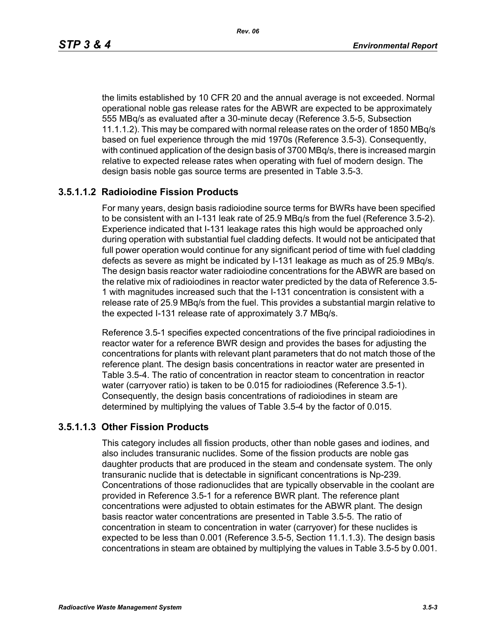the limits established by 10 CFR 20 and the annual average is not exceeded. Normal operational noble gas release rates for the ABWR are expected to be approximately 555 MBq/s as evaluated after a 30-minute decay (Reference 3.5-5, Subsection 11.1.1.2). This may be compared with normal release rates on the order of 1850 MBq/s based on fuel experience through the mid 1970s (Reference 3.5-3). Consequently, with continued application of the design basis of 3700 MBq/s, there is increased margin relative to expected release rates when operating with fuel of modern design. The design basis noble gas source terms are presented in Table 3.5-3.

### **3.5.1.1.2 Radioiodine Fission Products**

For many years, design basis radioiodine source terms for BWRs have been specified to be consistent with an I-131 leak rate of 25.9 MBq/s from the fuel (Reference 3.5-2). Experience indicated that I-131 leakage rates this high would be approached only during operation with substantial fuel cladding defects. It would not be anticipated that full power operation would continue for any significant period of time with fuel cladding defects as severe as might be indicated by I-131 leakage as much as of 25.9 MBq/s. The design basis reactor water radioiodine concentrations for the ABWR are based on the relative mix of radioiodines in reactor water predicted by the data of Reference 3.5- 1 with magnitudes increased such that the I-131 concentration is consistent with a release rate of 25.9 MBq/s from the fuel. This provides a substantial margin relative to the expected I-131 release rate of approximately 3.7 MBq/s.

Reference 3.5-1 specifies expected concentrations of the five principal radioiodines in reactor water for a reference BWR design and provides the bases for adjusting the concentrations for plants with relevant plant parameters that do not match those of the reference plant. The design basis concentrations in reactor water are presented in Table 3.5-4. The ratio of concentration in reactor steam to concentration in reactor water (carryover ratio) is taken to be 0.015 for radioiodines (Reference 3.5-1). Consequently, the design basis concentrations of radioiodines in steam are determined by multiplying the values of Table 3.5-4 by the factor of 0.015.

#### **3.5.1.1.3 Other Fission Products**

This category includes all fission products, other than noble gases and iodines, and also includes transuranic nuclides. Some of the fission products are noble gas daughter products that are produced in the steam and condensate system. The only transuranic nuclide that is detectable in significant concentrations is Np-239. Concentrations of those radionuclides that are typically observable in the coolant are provided in Reference 3.5-1 for a reference BWR plant. The reference plant concentrations were adjusted to obtain estimates for the ABWR plant. The design basis reactor water concentrations are presented in Table 3.5-5. The ratio of concentration in steam to concentration in water (carryover) for these nuclides is expected to be less than 0.001 (Reference 3.5-5, Section 11.1.1.3). The design basis concentrations in steam are obtained by multiplying the values in Table 3.5-5 by 0.001.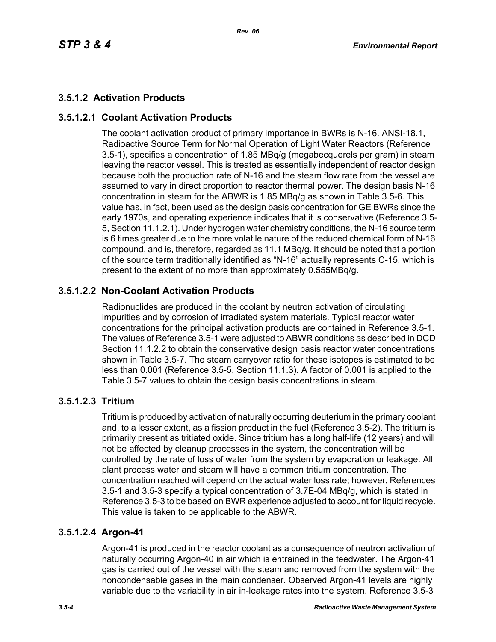# **3.5.1.2 Activation Products**

# **3.5.1.2.1 Coolant Activation Products**

The coolant activation product of primary importance in BWRs is N-16. ANSI-18.1, Radioactive Source Term for Normal Operation of Light Water Reactors (Reference 3.5-1), specifies a concentration of 1.85 MBq/g (megabecquerels per gram) in steam leaving the reactor vessel. This is treated as essentially independent of reactor design because both the production rate of N-16 and the steam flow rate from the vessel are assumed to vary in direct proportion to reactor thermal power. The design basis N-16 concentration in steam for the ABWR is 1.85 MBq/g as shown in Table 3.5-6. This value has, in fact, been used as the design basis concentration for GE BWRs since the early 1970s, and operating experience indicates that it is conservative (Reference 3.5- 5, Section 11.1.2.1). Under hydrogen water chemistry conditions, the N-16 source term is 6 times greater due to the more volatile nature of the reduced chemical form of N-16 compound, and is, therefore, regarded as 11.1 MBq/g. It should be noted that a portion of the source term traditionally identified as "N-16" actually represents C-15, which is present to the extent of no more than approximately 0.555MBq/g.

# **3.5.1.2.2 Non-Coolant Activation Products**

Radionuclides are produced in the coolant by neutron activation of circulating impurities and by corrosion of irradiated system materials. Typical reactor water concentrations for the principal activation products are contained in Reference 3.5-1. The values of Reference 3.5-1 were adjusted to ABWR conditions as described in DCD Section 11.1.2.2 to obtain the conservative design basis reactor water concentrations shown in Table 3.5-7. The steam carryover ratio for these isotopes is estimated to be less than 0.001 (Reference 3.5-5, Section 11.1.3). A factor of 0.001 is applied to the Table 3.5-7 values to obtain the design basis concentrations in steam.

### **3.5.1.2.3 Tritium**

Tritium is produced by activation of naturally occurring deuterium in the primary coolant and, to a lesser extent, as a fission product in the fuel (Reference 3.5-2). The tritium is primarily present as tritiated oxide. Since tritium has a long half-life (12 years) and will not be affected by cleanup processes in the system, the concentration will be controlled by the rate of loss of water from the system by evaporation or leakage. All plant process water and steam will have a common tritium concentration. The concentration reached will depend on the actual water loss rate; however, References 3.5-1 and 3.5-3 specify a typical concentration of 3.7E-04 MBq/g, which is stated in Reference 3.5-3 to be based on BWR experience adjusted to account for liquid recycle. This value is taken to be applicable to the ABWR.

### **3.5.1.2.4 Argon-41**

Argon-41 is produced in the reactor coolant as a consequence of neutron activation of naturally occurring Argon-40 in air which is entrained in the feedwater. The Argon-41 gas is carried out of the vessel with the steam and removed from the system with the noncondensable gases in the main condenser. Observed Argon-41 levels are highly variable due to the variability in air in-leakage rates into the system. Reference 3.5-3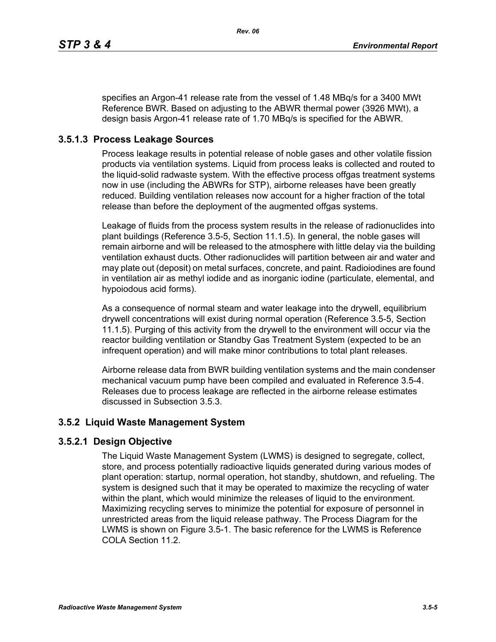specifies an Argon-41 release rate from the vessel of 1.48 MBq/s for a 3400 MWt Reference BWR. Based on adjusting to the ABWR thermal power (3926 MWt), a design basis Argon-41 release rate of 1.70 MBq/s is specified for the ABWR.

# **3.5.1.3 Process Leakage Sources**

Process leakage results in potential release of noble gases and other volatile fission products via ventilation systems. Liquid from process leaks is collected and routed to the liquid-solid radwaste system. With the effective process offgas treatment systems now in use (including the ABWRs for STP), airborne releases have been greatly reduced. Building ventilation releases now account for a higher fraction of the total release than before the deployment of the augmented offgas systems.

Leakage of fluids from the process system results in the release of radionuclides into plant buildings (Reference 3.5-5, Section 11.1.5). In general, the noble gases will remain airborne and will be released to the atmosphere with little delay via the building ventilation exhaust ducts. Other radionuclides will partition between air and water and may plate out (deposit) on metal surfaces, concrete, and paint. Radioiodines are found in ventilation air as methyl iodide and as inorganic iodine (particulate, elemental, and hypoiodous acid forms).

As a consequence of normal steam and water leakage into the drywell, equilibrium drywell concentrations will exist during normal operation (Reference 3.5-5, Section 11.1.5). Purging of this activity from the drywell to the environment will occur via the reactor building ventilation or Standby Gas Treatment System (expected to be an infrequent operation) and will make minor contributions to total plant releases.

Airborne release data from BWR building ventilation systems and the main condenser mechanical vacuum pump have been compiled and evaluated in Reference 3.5-4. Releases due to process leakage are reflected in the airborne release estimates discussed in Subsection 3.5.3.

### **3.5.2 Liquid Waste Management System**

### **3.5.2.1 Design Objective**

The Liquid Waste Management System (LWMS) is designed to segregate, collect, store, and process potentially radioactive liquids generated during various modes of plant operation: startup, normal operation, hot standby, shutdown, and refueling. The system is designed such that it may be operated to maximize the recycling of water within the plant, which would minimize the releases of liquid to the environment. Maximizing recycling serves to minimize the potential for exposure of personnel in unrestricted areas from the liquid release pathway. The Process Diagram for the LWMS is shown on Figure 3.5-1. The basic reference for the LWMS is Reference COLA Section 11.2.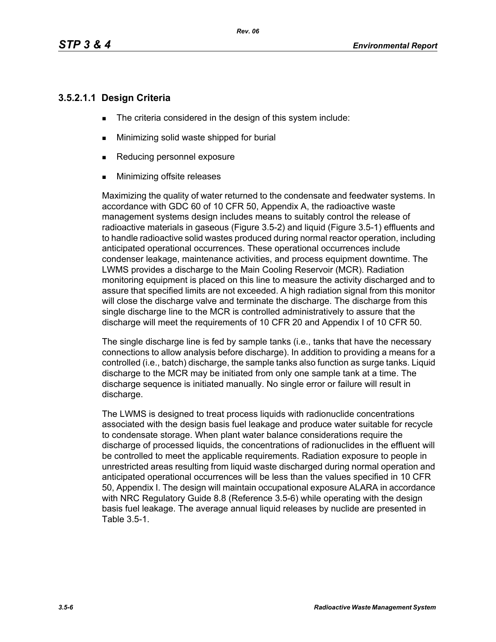### **3.5.2.1.1 Design Criteria**

- The criteria considered in the design of this system include:
- **Minimizing solid waste shipped for burial**
- Reducing personnel exposure
- **Minimizing offsite releases**

Maximizing the quality of water returned to the condensate and feedwater systems. In accordance with GDC 60 of 10 CFR 50, Appendix A, the radioactive waste management systems design includes means to suitably control the release of radioactive materials in gaseous (Figure 3.5-2) and liquid (Figure 3.5-1) effluents and to handle radioactive solid wastes produced during normal reactor operation, including anticipated operational occurrences. These operational occurrences include condenser leakage, maintenance activities, and process equipment downtime. The LWMS provides a discharge to the Main Cooling Reservoir (MCR). Radiation monitoring equipment is placed on this line to measure the activity discharged and to assure that specified limits are not exceeded. A high radiation signal from this monitor will close the discharge valve and terminate the discharge. The discharge from this single discharge line to the MCR is controlled administratively to assure that the discharge will meet the requirements of 10 CFR 20 and Appendix I of 10 CFR 50.

The single discharge line is fed by sample tanks (i.e., tanks that have the necessary connections to allow analysis before discharge). In addition to providing a means for a controlled (i.e., batch) discharge, the sample tanks also function as surge tanks. Liquid discharge to the MCR may be initiated from only one sample tank at a time. The discharge sequence is initiated manually. No single error or failure will result in discharge.

The LWMS is designed to treat process liquids with radionuclide concentrations associated with the design basis fuel leakage and produce water suitable for recycle to condensate storage. When plant water balance considerations require the discharge of processed liquids, the concentrations of radionuclides in the effluent will be controlled to meet the applicable requirements. Radiation exposure to people in unrestricted areas resulting from liquid waste discharged during normal operation and anticipated operational occurrences will be less than the values specified in 10 CFR 50, Appendix I. The design will maintain occupational exposure ALARA in accordance with NRC Regulatory Guide 8.8 (Reference 3.5-6) while operating with the design basis fuel leakage. The average annual liquid releases by nuclide are presented in Table 3.5-1.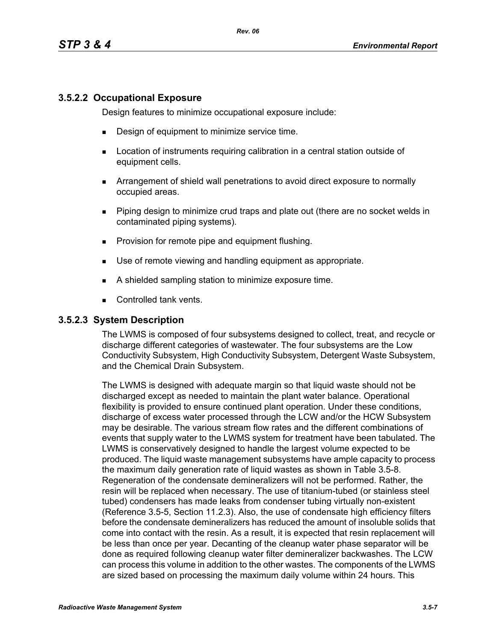### **3.5.2.2 Occupational Exposure**

Design features to minimize occupational exposure include:

- **Design of equipment to minimize service time.**
- **EXECT** Location of instruments requiring calibration in a central station outside of equipment cells.
- Arrangement of shield wall penetrations to avoid direct exposure to normally occupied areas.
- Piping design to minimize crud traps and plate out (there are no socket welds in contaminated piping systems).
- **Provision for remote pipe and equipment flushing.**
- Use of remote viewing and handling equipment as appropriate.
- A shielded sampling station to minimize exposure time.
- Controlled tank vents.

#### **3.5.2.3 System Description**

The LWMS is composed of four subsystems designed to collect, treat, and recycle or discharge different categories of wastewater. The four subsystems are the Low Conductivity Subsystem, High Conductivity Subsystem, Detergent Waste Subsystem, and the Chemical Drain Subsystem.

The LWMS is designed with adequate margin so that liquid waste should not be discharged except as needed to maintain the plant water balance. Operational flexibility is provided to ensure continued plant operation. Under these conditions, discharge of excess water processed through the LCW and/or the HCW Subsystem may be desirable. The various stream flow rates and the different combinations of events that supply water to the LWMS system for treatment have been tabulated. The LWMS is conservatively designed to handle the largest volume expected to be produced. The liquid waste management subsystems have ample capacity to process the maximum daily generation rate of liquid wastes as shown in Table 3.5-8. Regeneration of the condensate demineralizers will not be performed. Rather, the resin will be replaced when necessary. The use of titanium-tubed (or stainless steel tubed) condensers has made leaks from condenser tubing virtually non-existent (Reference 3.5-5, Section 11.2.3). Also, the use of condensate high efficiency filters before the condensate demineralizers has reduced the amount of insoluble solids that come into contact with the resin. As a result, it is expected that resin replacement will be less than once per year. Decanting of the cleanup water phase separator will be done as required following cleanup water filter demineralizer backwashes. The LCW can process this volume in addition to the other wastes. The components of the LWMS are sized based on processing the maximum daily volume within 24 hours. This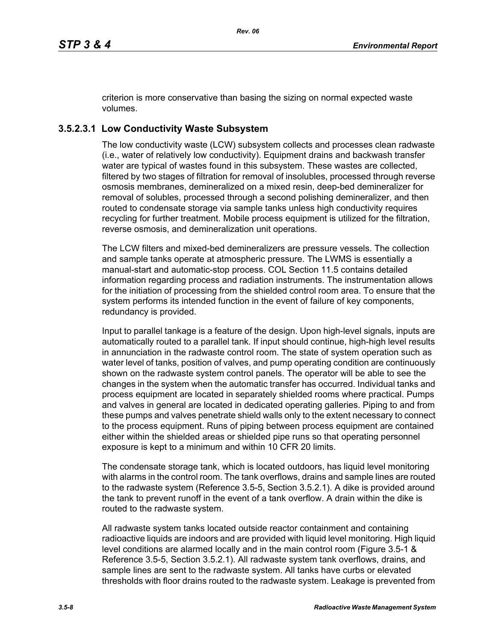criterion is more conservative than basing the sizing on normal expected waste volumes.

# **3.5.2.3.1 Low Conductivity Waste Subsystem**

The low conductivity waste (LCW) subsystem collects and processes clean radwaste (i.e., water of relatively low conductivity). Equipment drains and backwash transfer water are typical of wastes found in this subsystem. These wastes are collected, filtered by two stages of filtration for removal of insolubles, processed through reverse osmosis membranes, demineralized on a mixed resin, deep-bed demineralizer for removal of solubles, processed through a second polishing demineralizer, and then routed to condensate storage via sample tanks unless high conductivity requires recycling for further treatment. Mobile process equipment is utilized for the filtration, reverse osmosis, and demineralization unit operations.

The LCW filters and mixed-bed demineralizers are pressure vessels. The collection and sample tanks operate at atmospheric pressure. The LWMS is essentially a manual-start and automatic-stop process. COL Section 11.5 contains detailed information regarding process and radiation instruments. The instrumentation allows for the initiation of processing from the shielded control room area. To ensure that the system performs its intended function in the event of failure of key components, redundancy is provided.

Input to parallel tankage is a feature of the design. Upon high-level signals, inputs are automatically routed to a parallel tank. If input should continue, high-high level results in annunciation in the radwaste control room. The state of system operation such as water level of tanks, position of valves, and pump operating condition are continuously shown on the radwaste system control panels. The operator will be able to see the changes in the system when the automatic transfer has occurred. Individual tanks and process equipment are located in separately shielded rooms where practical. Pumps and valves in general are located in dedicated operating galleries. Piping to and from these pumps and valves penetrate shield walls only to the extent necessary to connect to the process equipment. Runs of piping between process equipment are contained either within the shielded areas or shielded pipe runs so that operating personnel exposure is kept to a minimum and within 10 CFR 20 limits.

The condensate storage tank, which is located outdoors, has liquid level monitoring with alarms in the control room. The tank overflows, drains and sample lines are routed to the radwaste system (Reference 3.5-5, Section 3.5.2.1). A dike is provided around the tank to prevent runoff in the event of a tank overflow. A drain within the dike is routed to the radwaste system.

All radwaste system tanks located outside reactor containment and containing radioactive liquids are indoors and are provided with liquid level monitoring. High liquid level conditions are alarmed locally and in the main control room (Figure 3.5-1 & Reference 3.5-5, Section 3.5.2.1). All radwaste system tank overflows, drains, and sample lines are sent to the radwaste system. All tanks have curbs or elevated thresholds with floor drains routed to the radwaste system. Leakage is prevented from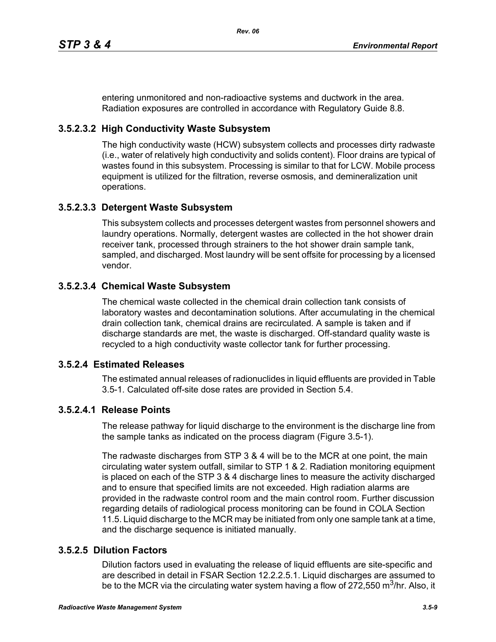entering unmonitored and non-radioactive systems and ductwork in the area. Radiation exposures are controlled in accordance with Regulatory Guide 8.8.

# **3.5.2.3.2 High Conductivity Waste Subsystem**

The high conductivity waste (HCW) subsystem collects and processes dirty radwaste (i.e., water of relatively high conductivity and solids content). Floor drains are typical of wastes found in this subsystem. Processing is similar to that for LCW. Mobile process equipment is utilized for the filtration, reverse osmosis, and demineralization unit operations.

### **3.5.2.3.3 Detergent Waste Subsystem**

This subsystem collects and processes detergent wastes from personnel showers and laundry operations. Normally, detergent wastes are collected in the hot shower drain receiver tank, processed through strainers to the hot shower drain sample tank, sampled, and discharged. Most laundry will be sent offsite for processing by a licensed vendor.

### **3.5.2.3.4 Chemical Waste Subsystem**

The chemical waste collected in the chemical drain collection tank consists of laboratory wastes and decontamination solutions. After accumulating in the chemical drain collection tank, chemical drains are recirculated. A sample is taken and if discharge standards are met, the waste is discharged. Off-standard quality waste is recycled to a high conductivity waste collector tank for further processing.

### **3.5.2.4 Estimated Releases**

The estimated annual releases of radionuclides in liquid effluents are provided in Table 3.5-1. Calculated off-site dose rates are provided in Section 5.4.

# **3.5.2.4.1 Release Points**

The release pathway for liquid discharge to the environment is the discharge line from the sample tanks as indicated on the process diagram (Figure 3.5-1).

The radwaste discharges from STP 3 & 4 will be to the MCR at one point, the main circulating water system outfall, similar to STP 1 & 2. Radiation monitoring equipment is placed on each of the STP 3 & 4 discharge lines to measure the activity discharged and to ensure that specified limits are not exceeded. High radiation alarms are provided in the radwaste control room and the main control room. Further discussion regarding details of radiological process monitoring can be found in COLA Section 11.5. Liquid discharge to the MCR may be initiated from only one sample tank at a time, and the discharge sequence is initiated manually.

# **3.5.2.5 Dilution Factors**

Dilution factors used in evaluating the release of liquid effluents are site-specific and are described in detail in FSAR Section 12.2.2.5.1. Liquid discharges are assumed to be to the MCR via the circulating water system having a flow of 272,550 m<sup>3</sup>/hr. Also, it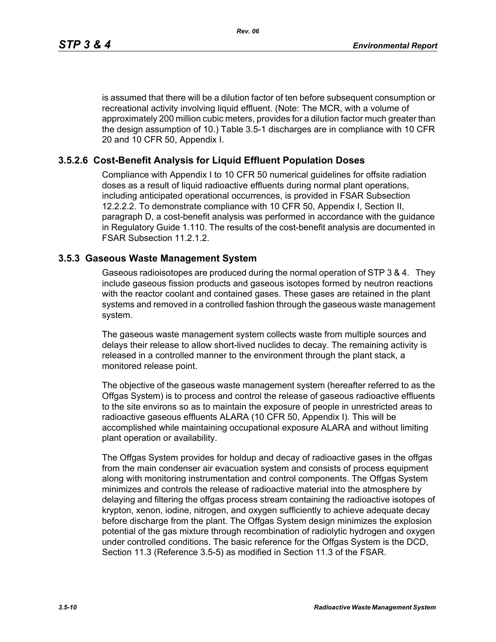is assumed that there will be a dilution factor of ten before subsequent consumption or recreational activity involving liquid effluent. (Note: The MCR, with a volume of approximately 200 million cubic meters, provides for a dilution factor much greater than the design assumption of 10.) Table 3.5-1 discharges are in compliance with 10 CFR 20 and 10 CFR 50, Appendix I.

### **3.5.2.6 Cost-Benefit Analysis for Liquid Effluent Population Doses**

Compliance with Appendix I to 10 CFR 50 numerical guidelines for offsite radiation doses as a result of liquid radioactive effluents during normal plant operations, including anticipated operational occurrences, is provided in FSAR Subsection 12.2.2.2. To demonstrate compliance with 10 CFR 50, Appendix I, Section II, paragraph D, a cost-benefit analysis was performed in accordance with the guidance in Regulatory Guide 1.110. The results of the cost-benefit analysis are documented in FSAR Subsection 11.2.1.2.

#### **3.5.3 Gaseous Waste Management System**

Gaseous radioisotopes are produced during the normal operation of STP 3 & 4. They include gaseous fission products and gaseous isotopes formed by neutron reactions with the reactor coolant and contained gases. These gases are retained in the plant systems and removed in a controlled fashion through the gaseous waste management system.

The gaseous waste management system collects waste from multiple sources and delays their release to allow short-lived nuclides to decay. The remaining activity is released in a controlled manner to the environment through the plant stack, a monitored release point.

The objective of the gaseous waste management system (hereafter referred to as the Offgas System) is to process and control the release of gaseous radioactive effluents to the site environs so as to maintain the exposure of people in unrestricted areas to radioactive gaseous effluents ALARA (10 CFR 50, Appendix I). This will be accomplished while maintaining occupational exposure ALARA and without limiting plant operation or availability.

The Offgas System provides for holdup and decay of radioactive gases in the offgas from the main condenser air evacuation system and consists of process equipment along with monitoring instrumentation and control components. The Offgas System minimizes and controls the release of radioactive material into the atmosphere by delaying and filtering the offgas process stream containing the radioactive isotopes of krypton, xenon, iodine, nitrogen, and oxygen sufficiently to achieve adequate decay before discharge from the plant. The Offgas System design minimizes the explosion potential of the gas mixture through recombination of radiolytic hydrogen and oxygen under controlled conditions. The basic reference for the Offgas System is the DCD, Section 11.3 (Reference 3.5-5) as modified in Section 11.3 of the FSAR.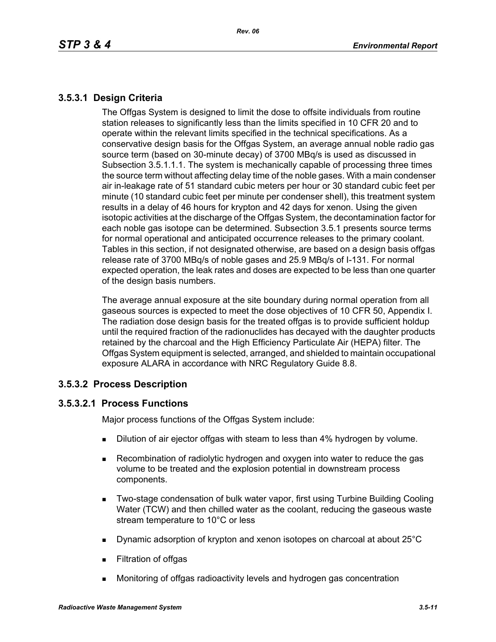# **3.5.3.1 Design Criteria**

The Offgas System is designed to limit the dose to offsite individuals from routine station releases to significantly less than the limits specified in 10 CFR 20 and to operate within the relevant limits specified in the technical specifications. As a conservative design basis for the Offgas System, an average annual noble radio gas source term (based on 30-minute decay) of 3700 MBq/s is used as discussed in Subsection 3.5.1.1.1. The system is mechanically capable of processing three times the source term without affecting delay time of the noble gases. With a main condenser air in-leakage rate of 51 standard cubic meters per hour or 30 standard cubic feet per minute (10 standard cubic feet per minute per condenser shell), this treatment system results in a delay of 46 hours for krypton and 42 days for xenon. Using the given isotopic activities at the discharge of the Offgas System, the decontamination factor for each noble gas isotope can be determined. Subsection 3.5.1 presents source terms for normal operational and anticipated occurrence releases to the primary coolant. Tables in this section, if not designated otherwise, are based on a design basis offgas release rate of 3700 MBq/s of noble gases and 25.9 MBq/s of I-131. For normal expected operation, the leak rates and doses are expected to be less than one quarter of the design basis numbers.

The average annual exposure at the site boundary during normal operation from all gaseous sources is expected to meet the dose objectives of 10 CFR 50, Appendix I. The radiation dose design basis for the treated offgas is to provide sufficient holdup until the required fraction of the radionuclides has decayed with the daughter products retained by the charcoal and the High Efficiency Particulate Air (HEPA) filter. The Offgas System equipment is selected, arranged, and shielded to maintain occupational exposure ALARA in accordance with NRC Regulatory Guide 8.8.

### **3.5.3.2 Process Description**

### **3.5.3.2.1 Process Functions**

Major process functions of the Offgas System include:

- **Dilution of air ejector offgas with steam to less than 4% hydrogen by volume.**
- Recombination of radiolytic hydrogen and oxygen into water to reduce the gas volume to be treated and the explosion potential in downstream process components.
- **Two-stage condensation of bulk water vapor, first using Turbine Building Cooling** Water (TCW) and then chilled water as the coolant, reducing the gaseous waste stream temperature to 10°C or less
- Dynamic adsorption of krypton and xenon isotopes on charcoal at about 25°C
- **Filtration of offgas**
- Monitoring of offgas radioactivity levels and hydrogen gas concentration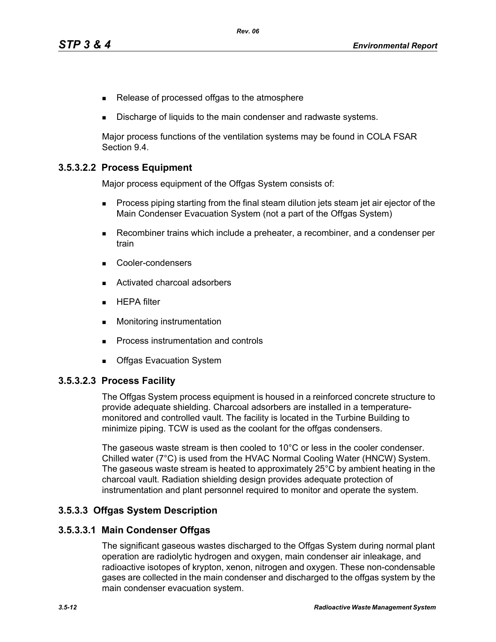- Release of processed offgas to the atmosphere
- Discharge of liquids to the main condenser and radwaste systems.

Major process functions of the ventilation systems may be found in COLA FSAR Section 9.4.

### **3.5.3.2.2 Process Equipment**

Major process equipment of the Offgas System consists of:

- **Process piping starting from the final steam dilution jets steam jet air ejector of the** Main Condenser Evacuation System (not a part of the Offgas System)
- Recombiner trains which include a preheater, a recombiner, and a condenser per train
- Cooler-condensers
- Activated charcoal adsorbers
- $HEPA$  filter
- **Monitoring instrumentation**
- **Process instrumentation and controls**
- **Debival Exacuation System**

#### **3.5.3.2.3 Process Facility**

The Offgas System process equipment is housed in a reinforced concrete structure to provide adequate shielding. Charcoal adsorbers are installed in a temperaturemonitored and controlled vault. The facility is located in the Turbine Building to minimize piping. TCW is used as the coolant for the offgas condensers.

The gaseous waste stream is then cooled to 10°C or less in the cooler condenser. Chilled water (7°C) is used from the HVAC Normal Cooling Water (HNCW) System. The gaseous waste stream is heated to approximately 25°C by ambient heating in the charcoal vault. Radiation shielding design provides adequate protection of instrumentation and plant personnel required to monitor and operate the system.

#### **3.5.3.3 Offgas System Description**

#### **3.5.3.3.1 Main Condenser Offgas**

The significant gaseous wastes discharged to the Offgas System during normal plant operation are radiolytic hydrogen and oxygen, main condenser air inleakage, and radioactive isotopes of krypton, xenon, nitrogen and oxygen. These non-condensable gases are collected in the main condenser and discharged to the offgas system by the main condenser evacuation system.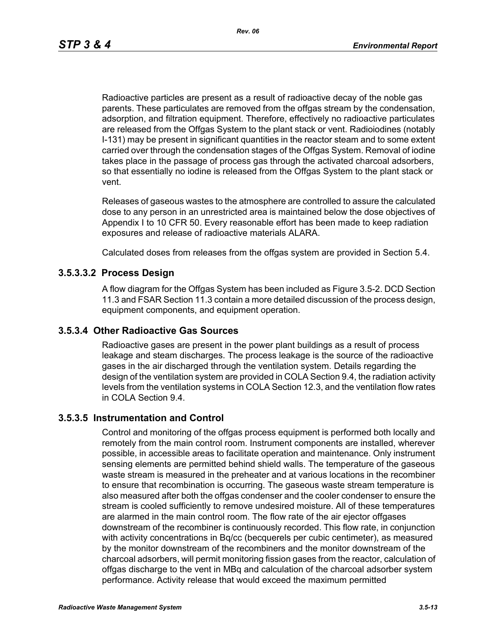Radioactive particles are present as a result of radioactive decay of the noble gas parents. These particulates are removed from the offgas stream by the condensation, adsorption, and filtration equipment. Therefore, effectively no radioactive particulates are released from the Offgas System to the plant stack or vent. Radioiodines (notably I-131) may be present in significant quantities in the reactor steam and to some extent carried over through the condensation stages of the Offgas System. Removal of iodine takes place in the passage of process gas through the activated charcoal adsorbers, so that essentially no iodine is released from the Offgas System to the plant stack or vent.

Releases of gaseous wastes to the atmosphere are controlled to assure the calculated dose to any person in an unrestricted area is maintained below the dose objectives of Appendix I to 10 CFR 50. Every reasonable effort has been made to keep radiation exposures and release of radioactive materials ALARA.

Calculated doses from releases from the offgas system are provided in Section 5.4.

#### **3.5.3.3.2 Process Design**

A flow diagram for the Offgas System has been included as Figure 3.5-2. DCD Section 11.3 and FSAR Section 11.3 contain a more detailed discussion of the process design, equipment components, and equipment operation.

#### **3.5.3.4 Other Radioactive Gas Sources**

Radioactive gases are present in the power plant buildings as a result of process leakage and steam discharges. The process leakage is the source of the radioactive gases in the air discharged through the ventilation system. Details regarding the design of the ventilation system are provided in COLA Section 9.4, the radiation activity levels from the ventilation systems in COLA Section 12.3, and the ventilation flow rates in COLA Section 9.4.

#### **3.5.3.5 Instrumentation and Control**

Control and monitoring of the offgas process equipment is performed both locally and remotely from the main control room. Instrument components are installed, wherever possible, in accessible areas to facilitate operation and maintenance. Only instrument sensing elements are permitted behind shield walls. The temperature of the gaseous waste stream is measured in the preheater and at various locations in the recombiner to ensure that recombination is occurring. The gaseous waste stream temperature is also measured after both the offgas condenser and the cooler condenser to ensure the stream is cooled sufficiently to remove undesired moisture. All of these temperatures are alarmed in the main control room. The flow rate of the air ejector offgases downstream of the recombiner is continuously recorded. This flow rate, in conjunction with activity concentrations in Bq/cc (becquerels per cubic centimeter), as measured by the monitor downstream of the recombiners and the monitor downstream of the charcoal adsorbers, will permit monitoring fission gases from the reactor, calculation of offgas discharge to the vent in MBq and calculation of the charcoal adsorber system performance. Activity release that would exceed the maximum permitted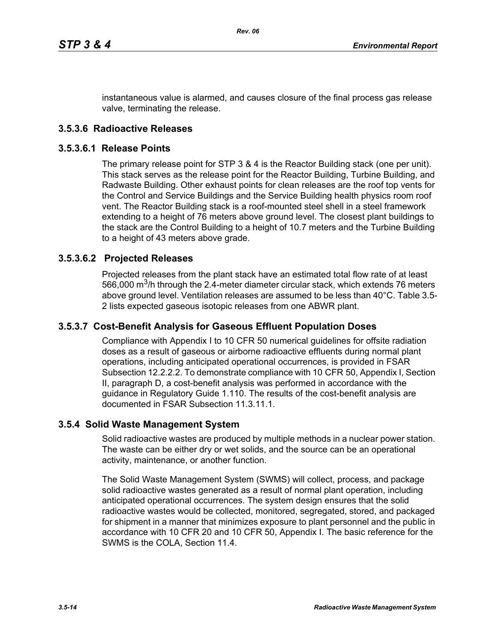instantaneous value is alarmed, and causes closure of the final process gas release valve, terminating the release.

### **3.5.3.6 Radioactive Releases**

#### **3.5.3.6.1 Release Points**

The primary release point for STP 3 & 4 is the Reactor Building stack (one per unit). This stack serves as the release point for the Reactor Building, Turbine Building, and Radwaste Building. Other exhaust points for clean releases are the roof top vents for the Control and Service Buildings and the Service Building health physics room roof vent. The Reactor Building stack is a roof-mounted steel shell in a steel framework extending to a height of 76 meters above ground level. The closest plant buildings to the stack are the Control Building to a height of 10.7 meters and the Turbine Building to a height of 43 meters above grade.

#### **3.5.3.6.2 Projected Releases**

Projected releases from the plant stack have an estimated total flow rate of at least 566,000  $\mathrm{m}^3$ /h through the 2.4-meter diameter circular stack, which extends 76 meters above ground level. Ventilation releases are assumed to be less than 40°C. Table 3.5- 2 lists expected gaseous isotopic releases from one ABWR plant.

#### **3.5.3.7 Cost-Benefit Analysis for Gaseous Effluent Population Doses**

Compliance with Appendix I to 10 CFR 50 numerical guidelines for offsite radiation doses as a result of gaseous or airborne radioactive effluents during normal plant operations, including anticipated operational occurrences, is provided in FSAR Subsection 12.2.2.2. To demonstrate compliance with 10 CFR 50, Appendix I, Section II, paragraph D, a cost-benefit analysis was performed in accordance with the guidance in Regulatory Guide 1.110. The results of the cost-benefit analysis are documented in FSAR Subsection 11.3.11.1.

#### **3.5.4 Solid Waste Management System**

Solid radioactive wastes are produced by multiple methods in a nuclear power station. The waste can be either dry or wet solids, and the source can be an operational activity, maintenance, or another function.

The Solid Waste Management System (SWMS) will collect, process, and package solid radioactive wastes generated as a result of normal plant operation, including anticipated operational occurrences. The system design ensures that the solid radioactive wastes would be collected, monitored, segregated, stored, and packaged for shipment in a manner that minimizes exposure to plant personnel and the public in accordance with 10 CFR 20 and 10 CFR 50, Appendix I. The basic reference for the SWMS is the COLA, Section 11.4.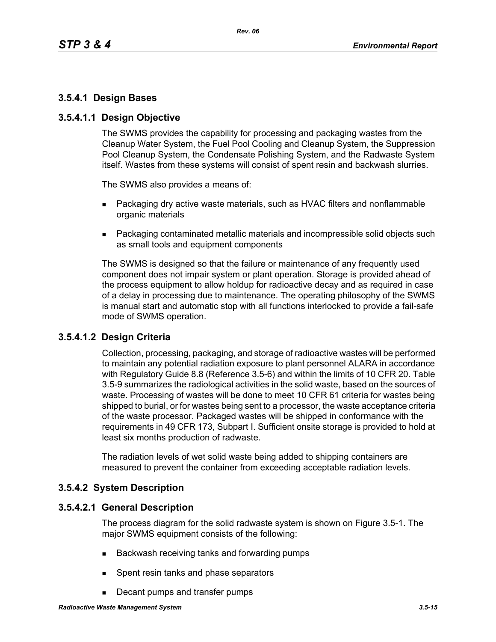## **3.5.4.1 Design Bases**

### **3.5.4.1.1 Design Objective**

The SWMS provides the capability for processing and packaging wastes from the Cleanup Water System, the Fuel Pool Cooling and Cleanup System, the Suppression Pool Cleanup System, the Condensate Polishing System, and the Radwaste System itself. Wastes from these systems will consist of spent resin and backwash slurries.

The SWMS also provides a means of:

- **Packaging dry active waste materials, such as HVAC filters and nonflammable** organic materials
- Packaging contaminated metallic materials and incompressible solid objects such as small tools and equipment components

The SWMS is designed so that the failure or maintenance of any frequently used component does not impair system or plant operation. Storage is provided ahead of the process equipment to allow holdup for radioactive decay and as required in case of a delay in processing due to maintenance. The operating philosophy of the SWMS is manual start and automatic stop with all functions interlocked to provide a fail-safe mode of SWMS operation.

### **3.5.4.1.2 Design Criteria**

Collection, processing, packaging, and storage of radioactive wastes will be performed to maintain any potential radiation exposure to plant personnel ALARA in accordance with Regulatory Guide 8.8 (Reference 3.5-6) and within the limits of 10 CFR 20. Table 3.5-9 summarizes the radiological activities in the solid waste, based on the sources of waste. Processing of wastes will be done to meet 10 CFR 61 criteria for wastes being shipped to burial, or for wastes being sent to a processor, the waste acceptance criteria of the waste processor. Packaged wastes will be shipped in conformance with the requirements in 49 CFR 173, Subpart I. Sufficient onsite storage is provided to hold at least six months production of radwaste.

The radiation levels of wet solid waste being added to shipping containers are measured to prevent the container from exceeding acceptable radiation levels.

### **3.5.4.2 System Description**

#### **3.5.4.2.1 General Description**

The process diagram for the solid radwaste system is shown on Figure 3.5-1. The major SWMS equipment consists of the following:

- Backwash receiving tanks and forwarding pumps
- **Spent resin tanks and phase separators**
- Decant pumps and transfer pumps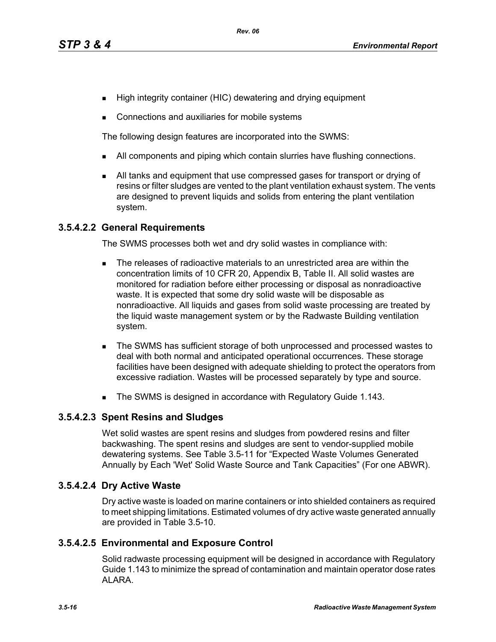- High integrity container (HIC) dewatering and drying equipment
- Connections and auxiliaries for mobile systems

The following design features are incorporated into the SWMS:

- I All components and piping which contain slurries have flushing connections.
- All tanks and equipment that use compressed gases for transport or drying of resins or filter sludges are vented to the plant ventilation exhaust system. The vents are designed to prevent liquids and solids from entering the plant ventilation system.

### **3.5.4.2.2 General Requirements**

The SWMS processes both wet and dry solid wastes in compliance with:

- The releases of radioactive materials to an unrestricted area are within the concentration limits of 10 CFR 20, Appendix B, Table II. All solid wastes are monitored for radiation before either processing or disposal as nonradioactive waste. It is expected that some dry solid waste will be disposable as nonradioactive. All liquids and gases from solid waste processing are treated by the liquid waste management system or by the Radwaste Building ventilation system.
- The SWMS has sufficient storage of both unprocessed and processed wastes to deal with both normal and anticipated operational occurrences. These storage facilities have been designed with adequate shielding to protect the operators from excessive radiation. Wastes will be processed separately by type and source.
- The SWMS is designed in accordance with Regulatory Guide 1.143.

### **3.5.4.2.3 Spent Resins and Sludges**

Wet solid wastes are spent resins and sludges from powdered resins and filter backwashing. The spent resins and sludges are sent to vendor-supplied mobile dewatering systems. See Table 3.5-11 for "Expected Waste Volumes Generated Annually by Each 'Wet' Solid Waste Source and Tank Capacities" (For one ABWR).

### **3.5.4.2.4 Dry Active Waste**

Dry active waste is loaded on marine containers or into shielded containers as required to meet shipping limitations. Estimated volumes of dry active waste generated annually are provided in Table 3.5-10.

### **3.5.4.2.5 Environmental and Exposure Control**

Solid radwaste processing equipment will be designed in accordance with Regulatory Guide 1.143 to minimize the spread of contamination and maintain operator dose rates ALARA.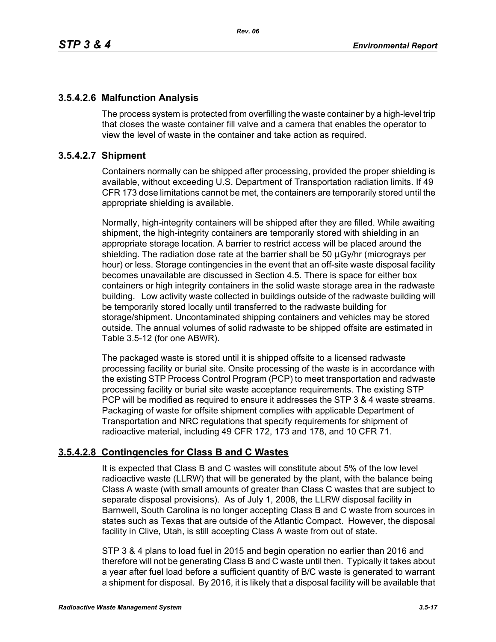# **3.5.4.2.6 Malfunction Analysis**

The process system is protected from overfilling the waste container by a high-level trip that closes the waste container fill valve and a camera that enables the operator to view the level of waste in the container and take action as required.

### **3.5.4.2.7 Shipment**

Containers normally can be shipped after processing, provided the proper shielding is available, without exceeding U.S. Department of Transportation radiation limits. If 49 CFR 173 dose limitations cannot be met, the containers are temporarily stored until the appropriate shielding is available.

Normally, high-integrity containers will be shipped after they are filled. While awaiting shipment, the high-integrity containers are temporarily stored with shielding in an appropriate storage location. A barrier to restrict access will be placed around the shielding. The radiation dose rate at the barrier shall be 50 μGy/hr (micrograys per hour) or less. Storage contingencies in the event that an off-site waste disposal facility becomes unavailable are discussed in Section 4.5. There is space for either box containers or high integrity containers in the solid waste storage area in the radwaste building. Low activity waste collected in buildings outside of the radwaste building will be temporarily stored locally until transferred to the radwaste building for storage/shipment. Uncontaminated shipping containers and vehicles may be stored outside. The annual volumes of solid radwaste to be shipped offsite are estimated in Table 3.5-12 (for one ABWR).

The packaged waste is stored until it is shipped offsite to a licensed radwaste processing facility or burial site. Onsite processing of the waste is in accordance with the existing STP Process Control Program (PCP) to meet transportation and radwaste processing facility or burial site waste acceptance requirements. The existing STP PCP will be modified as required to ensure it addresses the STP 3 & 4 waste streams. Packaging of waste for offsite shipment complies with applicable Department of Transportation and NRC regulations that specify requirements for shipment of radioactive material, including 49 CFR 172, 173 and 178, and 10 CFR 71.

# **3.5.4.2.8 Contingencies for Class B and C Wastes**

It is expected that Class B and C wastes will constitute about 5% of the low level radioactive waste (LLRW) that will be generated by the plant, with the balance being Class A waste (with small amounts of greater than Class C wastes that are subject to separate disposal provisions). As of July 1, 2008, the LLRW disposal facility in Barnwell, South Carolina is no longer accepting Class B and C waste from sources in states such as Texas that are outside of the Atlantic Compact. However, the disposal facility in Clive, Utah, is still accepting Class A waste from out of state.

STP 3 & 4 plans to load fuel in 2015 and begin operation no earlier than 2016 and therefore will not be generating Class B and C waste until then. Typically it takes about a year after fuel load before a sufficient quantity of B/C waste is generated to warrant a shipment for disposal. By 2016, it is likely that a disposal facility will be available that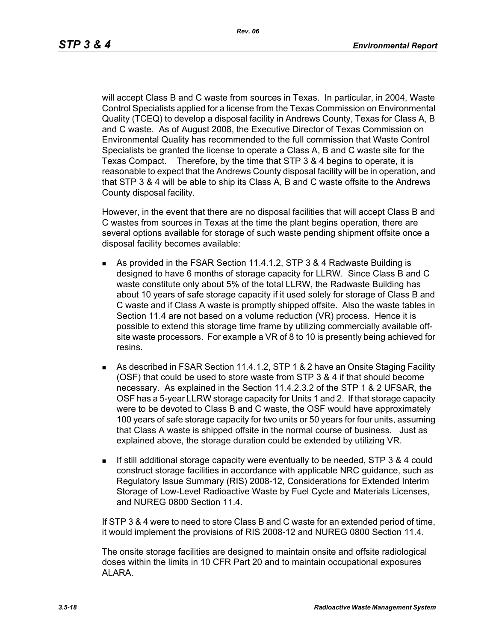will accept Class B and C waste from sources in Texas. In particular, in 2004, Waste Control Specialists applied for a license from the Texas Commission on Environmental Quality (TCEQ) to develop a disposal facility in Andrews County, Texas for Class A, B and C waste. As of August 2008, the Executive Director of Texas Commission on Environmental Quality has recommended to the full commission that Waste Control Specialists be granted the license to operate a Class A, B and C waste site for the Texas Compact. Therefore, by the time that STP 3 & 4 begins to operate, it is reasonable to expect that the Andrews County disposal facility will be in operation, and that STP 3 & 4 will be able to ship its Class A, B and C waste offsite to the Andrews County disposal facility.

However, in the event that there are no disposal facilities that will accept Class B and C wastes from sources in Texas at the time the plant begins operation, there are several options available for storage of such waste pending shipment offsite once a disposal facility becomes available:

- As provided in the FSAR Section 11.4.1.2, STP 3 & 4 Radwaste Building is designed to have 6 months of storage capacity for LLRW. Since Class B and C waste constitute only about 5% of the total LLRW, the Radwaste Building has about 10 years of safe storage capacity if it used solely for storage of Class B and C waste and if Class A waste is promptly shipped offsite. Also the waste tables in Section 11.4 are not based on a volume reduction (VR) process. Hence it is possible to extend this storage time frame by utilizing commercially available offsite waste processors. For example a VR of 8 to 10 is presently being achieved for resins.
- As described in FSAR Section 11.4.1.2, STP 1 & 2 have an Onsite Staging Facility (OSF) that could be used to store waste from STP 3 & 4 if that should become necessary. As explained in the Section 11.4.2.3.2 of the STP 1 & 2 UFSAR, the OSF has a 5-year LLRW storage capacity for Units 1 and 2. If that storage capacity were to be devoted to Class B and C waste, the OSF would have approximately 100 years of safe storage capacity for two units or 50 years for four units, assuming that Class A waste is shipped offsite in the normal course of business. Just as explained above, the storage duration could be extended by utilizing VR.
- If still additional storage capacity were eventually to be needed, STP 3 & 4 could construct storage facilities in accordance with applicable NRC guidance, such as Regulatory Issue Summary (RIS) 2008-12, Considerations for Extended Interim Storage of Low-Level Radioactive Waste by Fuel Cycle and Materials Licenses, and NUREG 0800 Section 11.4.

If STP 3 & 4 were to need to store Class B and C waste for an extended period of time, it would implement the provisions of RIS 2008-12 and NUREG 0800 Section 11.4.

The onsite storage facilities are designed to maintain onsite and offsite radiological doses within the limits in 10 CFR Part 20 and to maintain occupational exposures ALARA.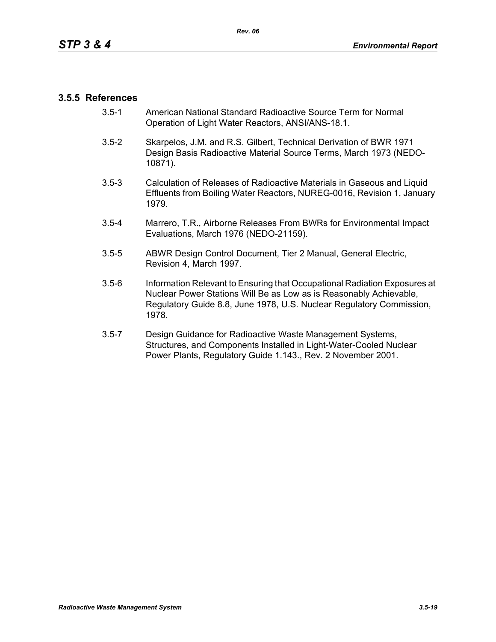### **3.5.5 References**

- 3.5-1 American National Standard Radioactive Source Term for Normal Operation of Light Water Reactors, ANSI/ANS-18.1.
- 3.5-2 Skarpelos, J.M. and R.S. Gilbert, Technical Derivation of BWR 1971 Design Basis Radioactive Material Source Terms, March 1973 (NEDO-10871).
- 3.5-3 Calculation of Releases of Radioactive Materials in Gaseous and Liquid Effluents from Boiling Water Reactors, NUREG-0016, Revision 1, January 1979.
- 3.5-4 Marrero, T.R., Airborne Releases From BWRs for Environmental Impact Evaluations, March 1976 (NEDO-21159).
- 3.5-5 ABWR Design Control Document, Tier 2 Manual, General Electric, Revision 4, March 1997.
- 3.5-6 Information Relevant to Ensuring that Occupational Radiation Exposures at Nuclear Power Stations Will Be as Low as is Reasonably Achievable, Regulatory Guide 8.8, June 1978, U.S. Nuclear Regulatory Commission, 1978.
- 3.5-7 Design Guidance for Radioactive Waste Management Systems, Structures, and Components Installed in Light-Water-Cooled Nuclear Power Plants, Regulatory Guide 1.143., Rev. 2 November 2001.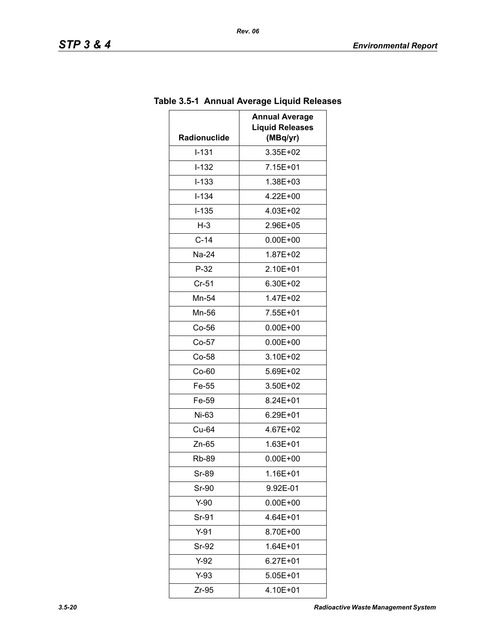| <b>Liquid Releases</b> |
|------------------------|
| (MBq/yr)               |
| 3.35E+02               |
| 7.15E+01               |
| 1.38E+03               |
| 4.22E+00               |
| 4.03E+02               |
| 2.96E+05               |
| $0.00E + 00$           |
| 1.87E+02               |
| 2.10E+01               |
| 6.30E+02               |
| 1.47E+02               |
| 7.55E+01               |
| $0.00E + 00$           |
| $0.00E + 00$           |
| 3.10E+02               |
| 5.69E+02               |
| 3.50E+02               |
| 8.24E+01               |
| 6.29E+01               |
| 4.67E+02               |
| 1.63E+01               |
| $0.00E + 00$           |
| 1.16E+01               |
| 9.92E-01               |
| $0.00E + 00$           |
| 4.64E+01               |
| 8.70E+00               |
| 1.64E+01               |
| 6.27E+01               |
| 5.05E+01               |
| 4.10E+01               |
|                        |

# **Table 3.5-1 Annual Average Liquid Releases**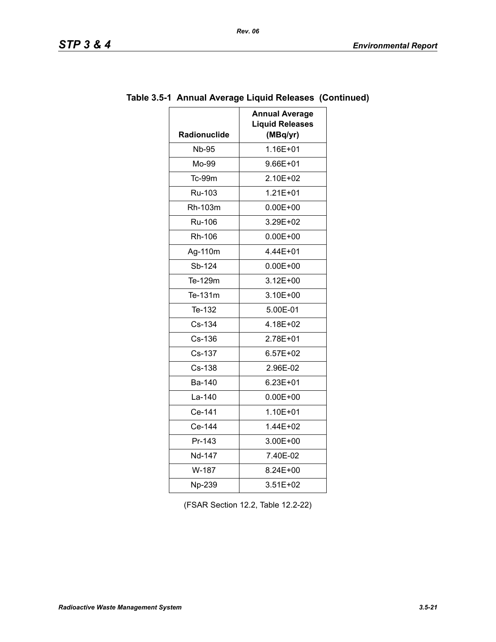| ТD.<br>51 F |  | σ<br>w |  |  |
|-------------|--|--------|--|--|
|-------------|--|--------|--|--|

| <b>Radionuclide</b> | <b>Annual Average</b><br><b>Liquid Releases</b><br>(MBq/yr) |
|---------------------|-------------------------------------------------------------|
| <b>Nb-95</b>        | 1.16E+01                                                    |
| Mo-99               | 9.66E+01                                                    |
| Tc-99m              | 2.10E+02                                                    |
| Ru-103              | $1.21E + 01$                                                |
| Rh-103m             | $0.00E + 00$                                                |
| <b>Ru-106</b>       | 3.29E+02                                                    |
| Rh-106              | $0.00E + 00$                                                |
| Ag-110m             | 4.44E+01                                                    |
| Sb-124              | $0.00E + 00$                                                |
| Te-129m             | $3.12E + 00$                                                |
| Te-131m             | 3.10E+00                                                    |
| Te-132              | 5.00E-01                                                    |
| Cs-134              | 4.18E+02                                                    |
| Cs-136              | 2.78E+01                                                    |
| Cs-137              | $6.57E+02$                                                  |
| Cs-138              | 2.96E-02                                                    |
| <b>Ba-140</b>       | 6.23E+01                                                    |
| La-140              | $0.00E + 00$                                                |
| Ce-141              | 1.10E+01                                                    |
| Ce-144              | 1.44E+02                                                    |
| Pr-143              | 3.00E+00                                                    |
| Nd-147              | 7.40E-02                                                    |
| W-187               | 8.24E+00                                                    |
| Np-239              | 3.51E+02                                                    |

# **Table 3.5-1 Annual Average Liquid Releases (Continued)**

(FSAR Section 12.2, Table 12.2-22)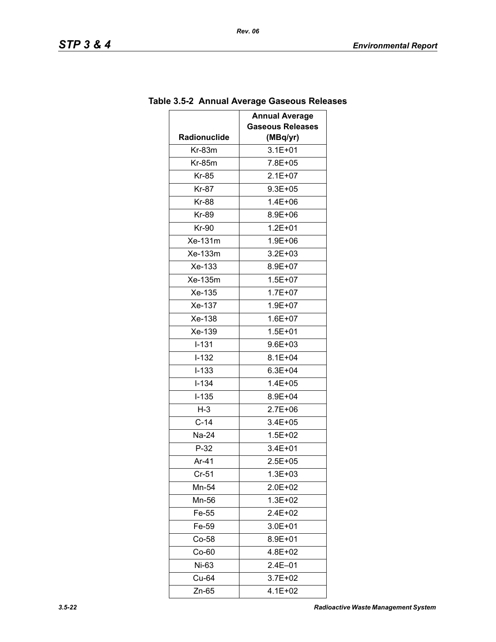| <b>Annual Average</b> |                         |  |
|-----------------------|-------------------------|--|
|                       | <b>Gaseous Releases</b> |  |
| Radionuclide          | (MBq/yr)                |  |
| $Kr-83m$              | $3.1E + 01$             |  |
| $Kr-85m$              | 7.8E+05                 |  |
| Kr-85                 | $2.1E+07$               |  |
| Kr-87                 | $9.3E + 05$             |  |
| <b>Kr-88</b>          | 1.4E+06                 |  |
| Kr-89                 | 8.9E+06                 |  |
| Kr-90                 | $1.2E + 01$             |  |
| Xe-131m               | 1.9E+06                 |  |
| Xe-133m               | 3.2E+03                 |  |
| Xe-133                | 8.9E+07                 |  |
| Xe-135m               | $1.5E + 07$             |  |
| Xe-135                | $1.7E + 07$             |  |
| Xe-137                | 1.9E+07                 |  |
| Xe-138                | $1.6E + 07$             |  |
| Xe-139                | $1.5E + 01$             |  |
| $I-131$               | 9.6E+03                 |  |
| $I-132$               | 8.1E+04                 |  |
| $I - 133$             | $6.3E + 04$             |  |
| $I - 134$             | $1.4E + 05$             |  |
| $I-135$               | 8.9E+04                 |  |
| $H-3$                 | 2.7E+06                 |  |
| $C-14$                | 3.4E+05                 |  |
| Na-24                 | $1.5E + 02$             |  |
| $P-32$                | 3.4E+01                 |  |
| Ar-41                 | 2.5E+05                 |  |
| $Cr-51$               | $1.3E + 03$             |  |
| Mn-54                 | $2.0E + 02$             |  |
| Mn-56                 | $1.3E + 02$             |  |
| Fe-55                 | $2.4E + 02$             |  |
| Fe-59                 | 3.0E+01                 |  |
| $Co-58$               | 8.9E+01                 |  |
| $Co-60$               | 4.8E+02                 |  |
| Ni-63                 | 2.4E-01                 |  |
| Cu-64                 | 3.7E+02                 |  |
| Zn-65                 | 4.1E+02                 |  |

# **Table 3.5-2 Annual Average Gaseous Releases**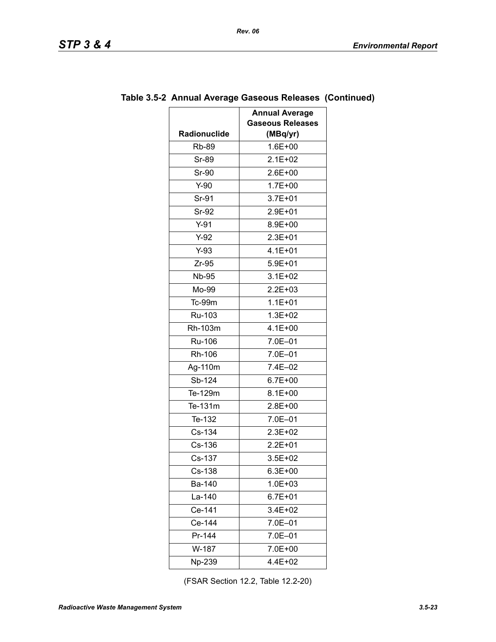| Radionuclide | <b>Annual Average</b><br><b>Gaseous Releases</b><br>(MBq/yr) |
|--------------|--------------------------------------------------------------|
| <b>Rb-89</b> | $1.6E + 00$                                                  |
| Sr-89        | $2.1E + 02$                                                  |
| Sr-90        | $2.6E + 00$                                                  |
| $Y-90$       | $1.7E + 00$                                                  |
| Sr-91        | $3.7E + 01$                                                  |
| Sr-92        | 2.9E+01                                                      |
| $Y-91$       | 8.9E+00                                                      |
| $Y-92$       | 2.3E+01                                                      |
| $Y-93$       | $4.1E + 01$                                                  |
| $Zr-95$      | $5.9E + 01$                                                  |
| <b>Nb-95</b> | $3.1E + 02$                                                  |
| Mo-99        | $2.2E + 03$                                                  |
| $Tc-99m$     | $1.1E + 01$                                                  |
| Ru-103       | $1.3E + 02$                                                  |
| Rh-103m      | $4.1E + 00$                                                  |
| Ru-106       | 7.0E-01                                                      |
| Rh-106       | 7.0E-01                                                      |
| Ag-110m      | 7.4E-02                                                      |
| Sb-124       | $6.7E + 00$                                                  |
| Te-129m      | $8.1E + 00$                                                  |
| Te-131m      | $2.8E + 00$                                                  |
| Te-132       | 7.0E-01                                                      |
| Cs-134       | 2.3E+02                                                      |
| Cs-136       | $2.2E + 01$                                                  |
| Cs-137       | $3.5E + 02$                                                  |
| Cs-138       | $6.3E + 00$                                                  |
| Ba-140       | 1.0E+03                                                      |
| La-140       | $6.7E + 01$                                                  |
| Ce-141       | 3.4E+02                                                      |
| Ce-144       | 7.0E-01                                                      |
| Pr-144       | 7.0E-01                                                      |
| W-187        | 7.0E+00                                                      |
| Np-239       | 4.4E+02                                                      |

### **Table 3.5-2 Annual Average Gaseous Releases (Continued)**

(FSAR Section 12.2, Table 12.2-20)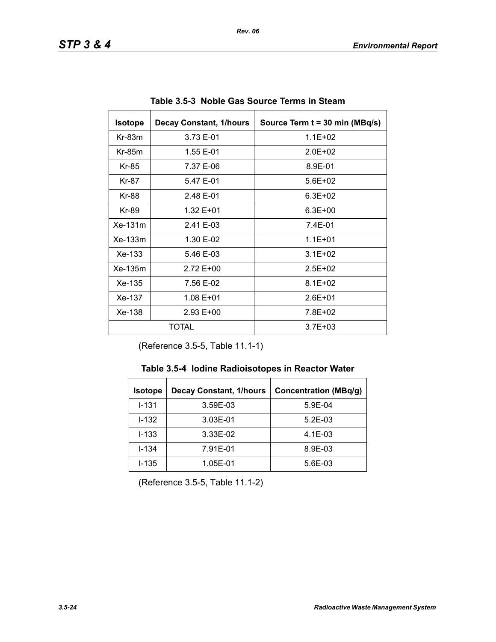| <b>Isotope</b>        | <b>Decay Constant, 1/hours</b> | Source Term t = 30 min (MBq/s) |
|-----------------------|--------------------------------|--------------------------------|
| $Kr-83m$              | 3.73 E-01                      | $1.1E + 02$                    |
| $Kr-85m$              | 1.55 E-01                      | $2.0F + 02$                    |
| Kr-85                 | 7.37 E-06                      | 8.9E-01                        |
| Kr-87                 | 5.47 E-01                      | $5.6E + 02$                    |
| Kr-88                 | 2.48 E-01                      | $6.3E + 02$                    |
| Kr-89                 | 1.32 E+01                      | $6.3E + 00$                    |
| Xe-131m               | 2.41 E-03                      | 7.4E-01                        |
| $Xe-133m$             | 1.30 E-02                      | $1.1E + 01$                    |
| $Xe-133$              | 5.46 E-03                      | $3.1E + 02$                    |
| Xe-135m               | 2.72 E+00                      | $2.5E + 02$                    |
| Xe-135                | 7.56 E-02                      | $8.1E + 02$                    |
| Xe-137                | 1.08 E+01                      | $2.6E + 01$                    |
| Xe-138<br>$2.93 E+00$ |                                | 7.8E+02                        |
| TOTAL                 |                                | $3.7E + 03$                    |

**Table 3.5-3 Noble Gas Source Terms in Steam** 

(Reference 3.5-5, Table 11.1-1)

| <b>Isotope</b> | <b>Decay Constant, 1/hours</b> | <b>Concentration (MBq/g)</b> |
|----------------|--------------------------------|------------------------------|
| $I - 131$      | 3.59E-03                       | 5.9E-04                      |
| $1 - 132$      | 3.03E-01                       | $5.2E-03$                    |
| $I - 133$      | 3.33E-02                       | $4.1E-03$                    |
| $I - 134$      | 7.91E-01                       | 8.9E-03                      |
| $I - 135$      | 1.05E-01                       | 5.6E-03                      |

(Reference 3.5-5, Table 11.1-2)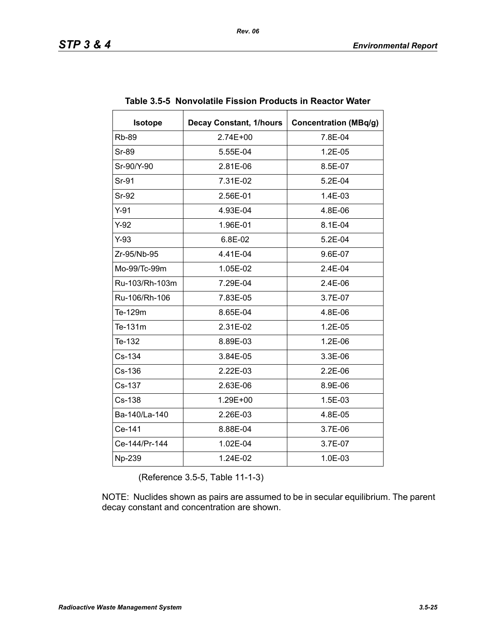| <b>Isotope</b> | <b>Decay Constant, 1/hours</b> | <b>Concentration (MBq/g)</b> |
|----------------|--------------------------------|------------------------------|
| <b>Rb-89</b>   | 2.74E+00                       | 7.8E-04                      |
| Sr-89          | 5.55E-04                       | 1.2E-05                      |
| Sr-90/Y-90     | 2.81E-06                       | 8.5E-07                      |
| Sr-91          | 7.31E-02                       | 5.2E-04                      |
| Sr-92          | 2.56E-01                       | 1.4E-03                      |
| $Y-91$         | 4.93E-04                       | 4.8E-06                      |
| $Y-92$         | 1.96E-01                       | 8.1E-04                      |
| $Y-93$         | 6.8E-02                        | $5.2E-04$                    |
| Zr-95/Nb-95    | 4.41E-04                       | 9.6E-07                      |
| Mo-99/Tc-99m   | 1.05E-02                       | 2.4E-04                      |
| Ru-103/Rh-103m | 7.29E-04                       | 2.4E-06                      |
| Ru-106/Rh-106  | 7.83E-05                       | 3.7E-07                      |
| Te-129m        | 8.65E-04                       | 4.8E-06                      |
| Te-131m        | 2.31E-02                       | 1.2E-05                      |
| Te-132         | 8.89E-03                       | 1.2E-06                      |
| Cs-134         | 3.84E-05                       | 3.3E-06                      |
| Cs-136         | 2.22E-03                       | 2.2E-06                      |
| Cs-137         | 2.63E-06                       | 8.9E-06                      |
| Cs-138         | 1.29E+00                       | 1.5E-03                      |
| Ba-140/La-140  | 2.26E-03                       | 4.8E-05                      |
| Ce-141         | 8.88E-04                       | 3.7E-06                      |
| Ce-144/Pr-144  | 1.02E-04                       | 3.7E-07                      |
| Np-239         | 1.24E-02                       | 1.0E-03                      |

#### **Table 3.5-5 Nonvolatile Fission Products in Reactor Water**

(Reference 3.5-5, Table 11-1-3)

NOTE: Nuclides shown as pairs are assumed to be in secular equilibrium. The parent decay constant and concentration are shown.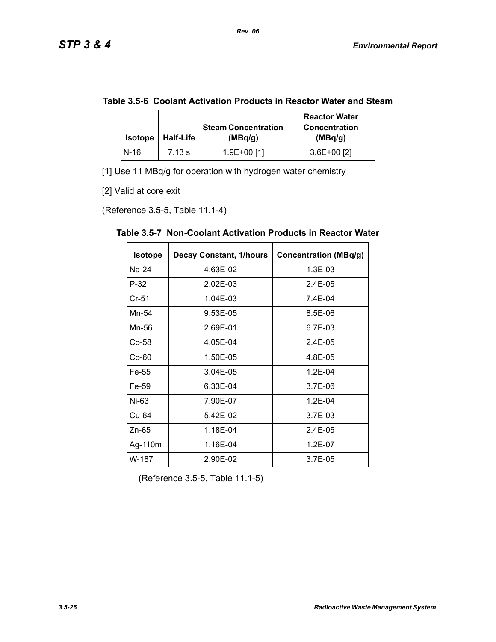|  | Table 3.5-6 Coolant Activation Products in Reactor Water and Steam |  |
|--|--------------------------------------------------------------------|--|
|--|--------------------------------------------------------------------|--|

| <b>Isotope</b> | <b>Half-Life</b> | <b>Steam Concentration</b><br>(MBq/g) | <b>Reactor Water</b><br><b>Concentration</b><br>(MBq/g) |
|----------------|------------------|---------------------------------------|---------------------------------------------------------|
| $N-16$         | 7.13 s           | 1.9E+00 [1]                           | $3.6E+00$ [2]                                           |

[1] Use 11 MBq/g for operation with hydrogen water chemistry

[2] Valid at core exit

(Reference 3.5-5, Table 11.1-4)

| <b>Isotope</b> | <b>Decay Constant, 1/hours</b> | <b>Concentration (MBq/g)</b> |
|----------------|--------------------------------|------------------------------|
| Na-24          | 4.63E-02                       | 1.3E-03                      |
| $P-32$         | 2.02E-03                       | $2.4E-0.5$                   |
| $Cr-51$        | 1.04E-03                       | 7.4E-04                      |
| Mn-54          | 9.53E-05                       | 8.5E-06                      |
| Mn-56          | 2.69E-01                       | 6.7E-03                      |
| Co-58          | 4.05E-04                       | $2.4E - 0.5$                 |
| $Co-60$        | 1.50E-05                       | 4.8E-05                      |
| Fe-55          | 3.04E-05                       | $1.2E - 04$                  |
| Fe-59          | 6.33E-04                       | 3.7E-06                      |
| Ni-63          | 7.90E-07                       | $1.2E - 04$                  |
| Cu-64          | 5.42E-02                       | 3.7E-03                      |
| $Zn-65$        | 1.18E-04                       | 2.4E-05                      |
| Ag-110m        | 1.16E-04                       | 1.2E-07                      |
| W-187          | 2.90E-02                       | 3.7E-05                      |

**Table 3.5-7 Non-Coolant Activation Products in Reactor Water** 

(Reference 3.5-5, Table 11.1-5)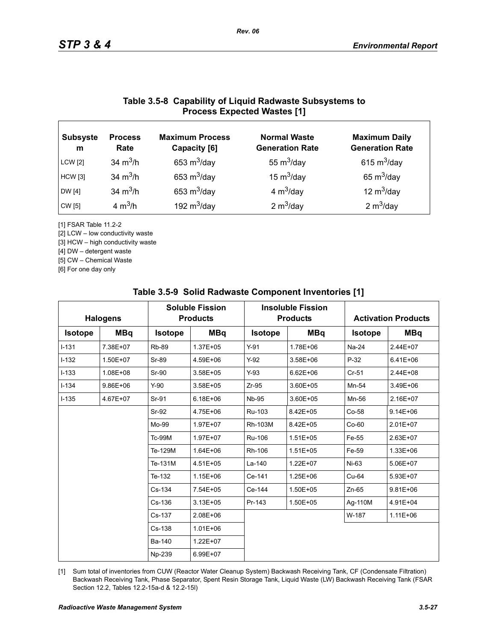### **Table 3.5-8 Capability of Liquid Radwaste Subsystems to Process Expected Wastes [1]**

| <b>Subsyste</b><br>m | <b>Process</b><br>Rate | <b>Maximum Process</b><br>Capacity [6] | <b>Normal Waste</b><br><b>Generation Rate</b> | <b>Maximum Daily</b><br><b>Generation Rate</b> |
|----------------------|------------------------|----------------------------------------|-----------------------------------------------|------------------------------------------------|
| <b>LCW</b> [2]       | 34 $m^3/h$             | 653 $m^3$ /day                         | 55 $m^3$ /day                                 | 615 $m^3$ /day                                 |
| <b>HCW</b> [3]       | 34 $m^3/h$             | 653 $m^3$ /day                         | 15 $m^3$ /day                                 | 65 $m^3$ /day                                  |
| DW [4]               | 34 $m^3/h$             | 653 $m^3$ /day                         | 4 $m^3$ /day                                  | 12 $m^3$ /day                                  |
| CW [5]               | 4 $m^3/h$              | 192 $m^3$ /day                         | 2 $m^3$ /day                                  | 2 $m^3$ /day                                   |

[1] FSAR Table 11.2-2

[2] LCW – low conductivity waste

[3] HCW – high conductivity waste

[4] DW – detergent waste

[5] CW – Chemical Waste

[6] For one day only

|                | <b>Halogens</b> |                | <b>Soluble Fission</b><br><b>Products</b> |                | <b>Insoluble Fission</b><br><b>Products</b> |                | <b>Activation Products</b> |
|----------------|-----------------|----------------|-------------------------------------------|----------------|---------------------------------------------|----------------|----------------------------|
| <b>Isotope</b> | <b>MBq</b>      | <b>Isotope</b> | <b>MBq</b>                                | <b>Isotope</b> | <b>MBq</b>                                  | <b>Isotope</b> | <b>MBq</b>                 |
| $I - 131$      | 7.38E+07        | <b>Rb-89</b>   | 1.37E+05                                  | $Y-91$         | 1.78E+06                                    | Na-24          | 2.44E+07                   |
| $I-132$        | 1.50E+07        | Sr-89          | 4.59E+06                                  | $Y-92$         | 3.58E+06                                    | $P-32$         | $6.41E + 06$               |
| $I-133$        | 1.08E+08        | Sr-90          | $3.58E + 05$                              | $Y-93$         | $6.62E + 06$                                | $Cr-51$        | 2.44E+08                   |
| $I - 134$      | $9.86E + 06$    | $Y-90$         | 3.58E+05                                  | $Zr-95$        | 3.60E+05                                    | Mn-54          | 3.49E+06                   |
| $I - 135$      | 4.67E+07        | Sr-91          | $6.18E + 06$                              | <b>Nb-95</b>   | 3.60E+05                                    | Mn-56          | 2.16E+07                   |
|                |                 | Sr-92          | 4.75E+06                                  | Ru-103         | 8.42E+05                                    | Co-58          | $9.14E + 06$               |
|                |                 | Mo-99          | 1.97E+07                                  | Rh-103M        | 8.42E+05                                    | $Co-60$        | 2.01E+07                   |
|                |                 | <b>Tc-99M</b>  | 1.97E+07                                  | Ru-106         | $1.51E + 05$                                | Fe-55          | 2.63E+07                   |
|                |                 | Te-129M        | 1.64E+06                                  | Rh-106         | $1.51E + 05$                                | Fe-59          | 1.33E+06                   |
|                |                 | Te-131M        | 4.51E+05                                  | $La-140$       | $1.22E + 07$                                | Ni-63          | 5.06E+07                   |
|                |                 | Te-132         | 1.15E+06                                  | Ce-141         | 1.25E+06                                    | Cu-64          | 5.93E+07                   |
|                |                 | Cs-134         | 7.54E+05                                  | Ce-144         | 1.50E+05                                    | $Zn-65$        | $9.81E + 06$               |
|                |                 | Cs-136         | $3.13E + 05$                              | Pr-143         | 1.50E+05                                    | Ag-110M        | 4.91E+04                   |
|                |                 | Cs-137         | 2.08E+06                                  |                |                                             | W-187          | $1.11E + 06$               |
|                |                 | Cs-138         | $1.01E + 06$                              |                |                                             |                |                            |
|                |                 | Ba-140         | 1.22E+07                                  |                |                                             |                |                            |
|                |                 | Np-239         | 6.99E+07                                  |                |                                             |                |                            |

#### **Table 3.5-9 Solid Radwaste Component Inventories [1]**

[1] Sum total of inventories from CUW (Reactor Water Cleanup System) Backwash Receiving Tank, CF (Condensate Filtration) Backwash Receiving Tank, Phase Separator, Spent Resin Storage Tank, Liquid Waste (LW) Backwash Receiving Tank (FSAR Section 12.2, Tables 12.2-15a-d & 12.2-15l)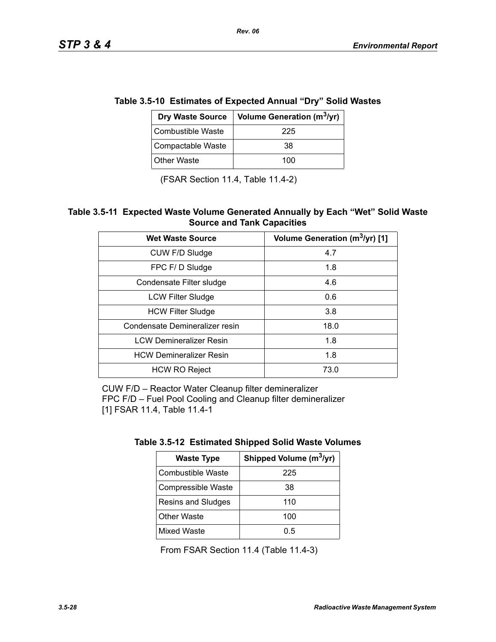| e 3.5-10 Estimates of Expected Annual "Dry" Solid was |                                        |  |
|-------------------------------------------------------|----------------------------------------|--|
| <b>Dry Waste Source</b>                               | Volume Generation (m <sup>3</sup> /yr) |  |
| <b>Combustible Waste</b>                              | 225                                    |  |
| Compactable Waste                                     | 38                                     |  |
| <b>Other Waste</b>                                    | 100                                    |  |

# **Table 3.5-10 Estimates of Expected Annual "Dry" Solid Wastes**

(FSAR Section 11.4, Table 11.4-2)

#### **Table 3.5-11 Expected Waste Volume Generated Annually by Each "Wet" Solid Waste Source and Tank Capacities**

| <b>Wet Waste Source</b>        | Volume Generation (m <sup>3</sup> /yr) [1] |
|--------------------------------|--------------------------------------------|
| CUW F/D Sludge                 | 4.7                                        |
| FPC F/D Sludge                 | 1.8                                        |
| Condensate Filter sludge       | 4.6                                        |
| <b>LCW Filter Sludge</b>       | 0.6                                        |
| <b>HCW Filter Sludge</b>       | 3.8                                        |
| Condensate Demineralizer resin | 18.0                                       |
| <b>LCW Demineralizer Resin</b> | 1.8                                        |
| <b>HCW Demineralizer Resin</b> | 1.8                                        |
| <b>HCW RO Reject</b>           | 73.0                                       |

CUW F/D – Reactor Water Cleanup filter demineralizer FPC F/D – Fuel Pool Cooling and Cleanup filter demineralizer [1] FSAR 11.4, Table 11.4-1

| <b>Waste Type</b>        | Shipped Volume (m <sup>3</sup> /yr) |  |
|--------------------------|-------------------------------------|--|
| <b>Combustible Waste</b> | 225                                 |  |
| Compressible Waste       | 38                                  |  |
| Resins and Sludges       | 110                                 |  |
| <b>Other Waste</b>       | 100                                 |  |
| <b>Mixed Waste</b>       | 0.5                                 |  |

From FSAR Section 11.4 (Table 11.4-3)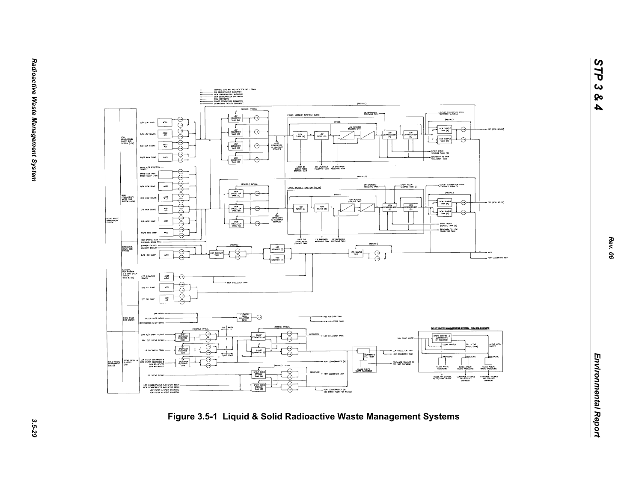

*STP 3 & 4*